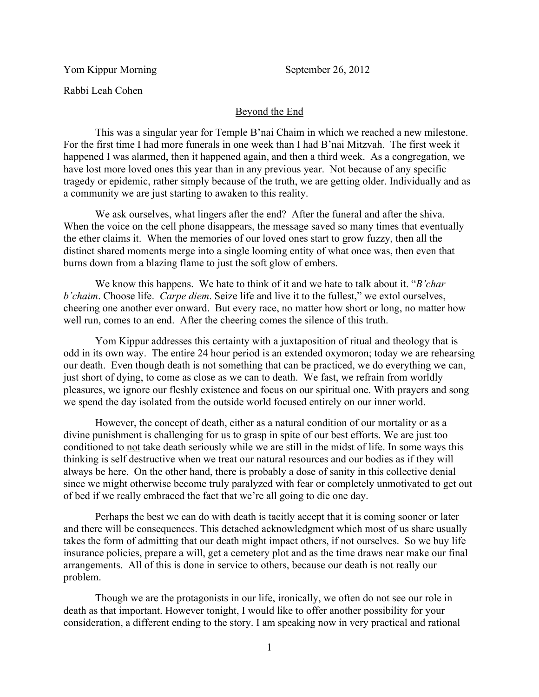Yom Kippur Morning September 26, 2012

Rabbi Leah Cohen

## Beyond the End

This was a singular year for Temple B'nai Chaim in which we reached a new milestone. For the first time I had more funerals in one week than I had B'nai Mitzvah. The first week it happened I was alarmed, then it happened again, and then a third week. As a congregation, we have lost more loved ones this year than in any previous year. Not because of any specific tragedy or epidemic, rather simply because of the truth, we are getting older. Individually and as a community we are just starting to awaken to this reality.

We ask ourselves, what lingers after the end? After the funeral and after the shiva. When the voice on the cell phone disappears, the message saved so many times that eventually the ether claims it. When the memories of our loved ones start to grow fuzzy, then all the distinct shared moments merge into a single looming entity of what once was, then even that burns down from a blazing flame to just the soft glow of embers.

We know this happens. We hate to think of it and we hate to talk about it. "*B'char b'chaim*. Choose life. *Carpe diem*. Seize life and live it to the fullest," we extol ourselves, cheering one another ever onward. But every race, no matter how short or long, no matter how well run, comes to an end. After the cheering comes the silence of this truth.

Yom Kippur addresses this certainty with a juxtaposition of ritual and theology that is odd in its own way. The entire 24 hour period is an extended oxymoron; today we are rehearsing our death. Even though death is not something that can be practiced, we do everything we can, just short of dying, to come as close as we can to death. We fast, we refrain from worldly pleasures, we ignore our fleshly existence and focus on our spiritual one. With prayers and song we spend the day isolated from the outside world focused entirely on our inner world.

However, the concept of death, either as a natural condition of our mortality or as a divine punishment is challenging for us to grasp in spite of our best efforts. We are just too conditioned to not take death seriously while we are still in the midst of life. In some ways this thinking is self destructive when we treat our natural resources and our bodies as if they will always be here. On the other hand, there is probably a dose of sanity in this collective denial since we might otherwise become truly paralyzed with fear or completely unmotivated to get out of bed if we really embraced the fact that we're all going to die one day.

Perhaps the best we can do with death is tacitly accept that it is coming sooner or later and there will be consequences. This detached acknowledgment which most of us share usually takes the form of admitting that our death might impact others, if not ourselves. So we buy life insurance policies, prepare a will, get a cemetery plot and as the time draws near make our final arrangements. All of this is done in service to others, because our death is not really our problem.

Though we are the protagonists in our life, ironically, we often do not see our role in death as that important. However tonight, I would like to offer another possibility for your consideration, a different ending to the story. I am speaking now in very practical and rational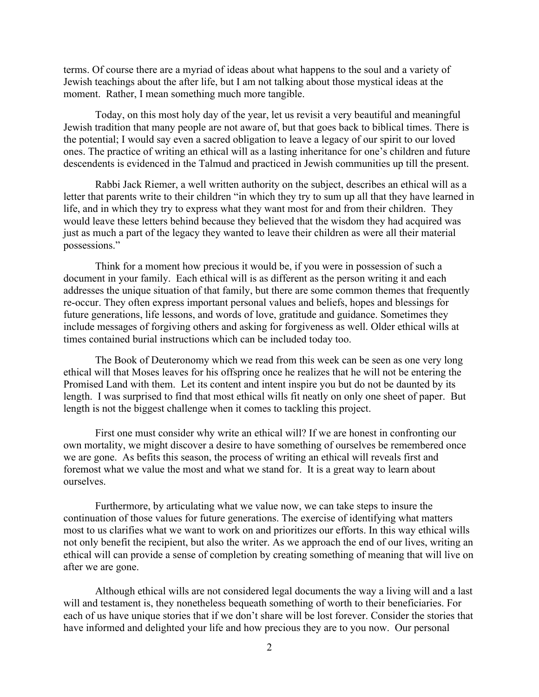terms. Of course there are a myriad of ideas about what happens to the soul and a variety of Jewish teachings about the after life, but I am not talking about those mystical ideas at the moment. Rather, I mean something much more tangible.

Today, on this most holy day of the year, let us revisit a very beautiful and meaningful Jewish tradition that many people are not aware of, but that goes back to biblical times. There is the potential; I would say even a sacred obligation to leave a legacy of our spirit to our loved ones. The practice of writing an ethical will as a lasting inheritance for one's children and future descendents is evidenced in the Talmud and practiced in Jewish communities up till the present.

Rabbi Jack Riemer, a well written authority on the subject, describes an ethical will as a letter that parents write to their children "in which they try to sum up all that they have learned in life, and in which they try to express what they want most for and from their children. They would leave these letters behind because they believed that the wisdom they had acquired was just as much a part of the legacy they wanted to leave their children as were all their material possessions."

Think for a moment how precious it would be, if you were in possession of such a document in your family. Each ethical will is as different as the person writing it and each addresses the unique situation of that family, but there are some common themes that frequently re-occur. They often express important personal values and beliefs, hopes and blessings for future generations, life lessons, and words of love, gratitude and guidance. Sometimes they include messages of forgiving others and asking for forgiveness as well. Older ethical wills at times contained burial instructions which can be included today too.

The Book of Deuteronomy which we read from this week can be seen as one very long ethical will that Moses leaves for his offspring once he realizes that he will not be entering the Promised Land with them. Let its content and intent inspire you but do not be daunted by its length. I was surprised to find that most ethical wills fit neatly on only one sheet of paper. But length is not the biggest challenge when it comes to tackling this project.

First one must consider why write an ethical will? If we are honest in confronting our own mortality, we might discover a desire to have something of ourselves be remembered once we are gone. As befits this season, the process of writing an ethical will reveals first and foremost what we value the most and what we stand for. It is a great way to learn about ourselves.

Furthermore, by articulating what we value now, we can take steps to insure the continuation of those values for future generations. The exercise of identifying what matters most to us clarifies what we want to work on and prioritizes our efforts. In this way ethical wills not only benefit the recipient, but also the writer. As we approach the end of our lives, writing an ethical will can provide a sense of completion by creating something of meaning that will live on after we are gone.

Although ethical wills are not considered legal documents the way a living will and a last will and testament is, they nonetheless bequeath something of worth to their beneficiaries. For each of us have unique stories that if we don't share will be lost forever. Consider the stories that have informed and delighted your life and how precious they are to you now. Our personal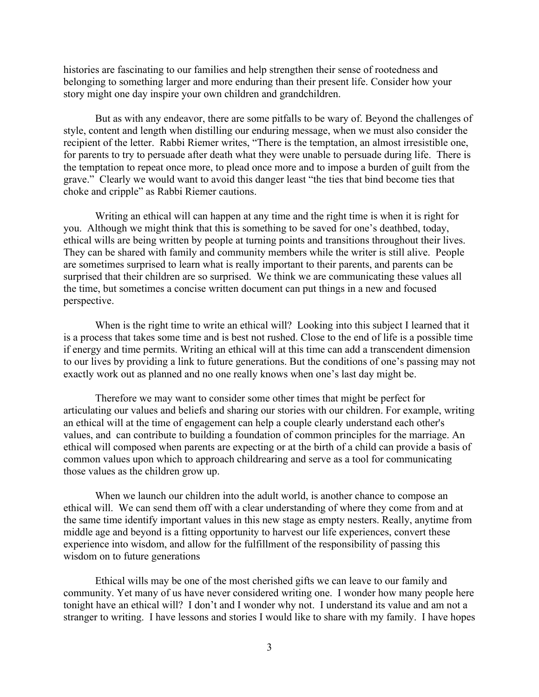histories are fascinating to our families and help strengthen their sense of rootedness and belonging to something larger and more enduring than their present life. Consider how your story might one day inspire your own children and grandchildren.

But as with any endeavor, there are some pitfalls to be wary of. Beyond the challenges of style, content and length when distilling our enduring message, when we must also consider the recipient of the letter. Rabbi Riemer writes, "There is the temptation, an almost irresistible one, for parents to try to persuade after death what they were unable to persuade during life. There is the temptation to repeat once more, to plead once more and to impose a burden of guilt from the grave." Clearly we would want to avoid this danger least "the ties that bind become ties that choke and cripple" as Rabbi Riemer cautions.

Writing an ethical will can happen at any time and the right time is when it is right for you. Although we might think that this is something to be saved for one's deathbed, today, ethical wills are being written by people at turning points and transitions throughout their lives. They can be shared with family and community members while the writer is still alive. People are sometimes surprised to learn what is really important to their parents, and parents can be surprised that their children are so surprised. We think we are communicating these values all the time, but sometimes a concise written document can put things in a new and focused perspective.

When is the right time to write an ethical will? Looking into this subject I learned that it is a process that takes some time and is best not rushed. Close to the end of life is a possible time if energy and time permits. Writing an ethical will at this time can add a transcendent dimension to our lives by providing a link to future generations. But the conditions of one's passing may not exactly work out as planned and no one really knows when one's last day might be.

Therefore we may want to consider some other times that might be perfect for articulating our values and beliefs and sharing our stories with our children. For example, writing an ethical will at the time of engagement can help a couple clearly understand each other's values, and can contribute to building a foundation of common principles for the marriage. An ethical will composed when parents are expecting or at the birth of a child can provide a basis of common values upon which to approach childrearing and serve as a tool for communicating those values as the children grow up.

When we launch our children into the adult world, is another chance to compose an ethical will. We can send them off with a clear understanding of where they come from and at the same time identify important values in this new stage as empty nesters. Really, anytime from middle age and beyond is a fitting opportunity to harvest our life experiences, convert these experience into wisdom, and allow for the fulfillment of the responsibility of passing this wisdom on to future generations

Ethical wills may be one of the most cherished gifts we can leave to our family and community. Yet many of us have never considered writing one. I wonder how many people here tonight have an ethical will? I don't and I wonder why not. I understand its value and am not a stranger to writing. I have lessons and stories I would like to share with my family. I have hopes